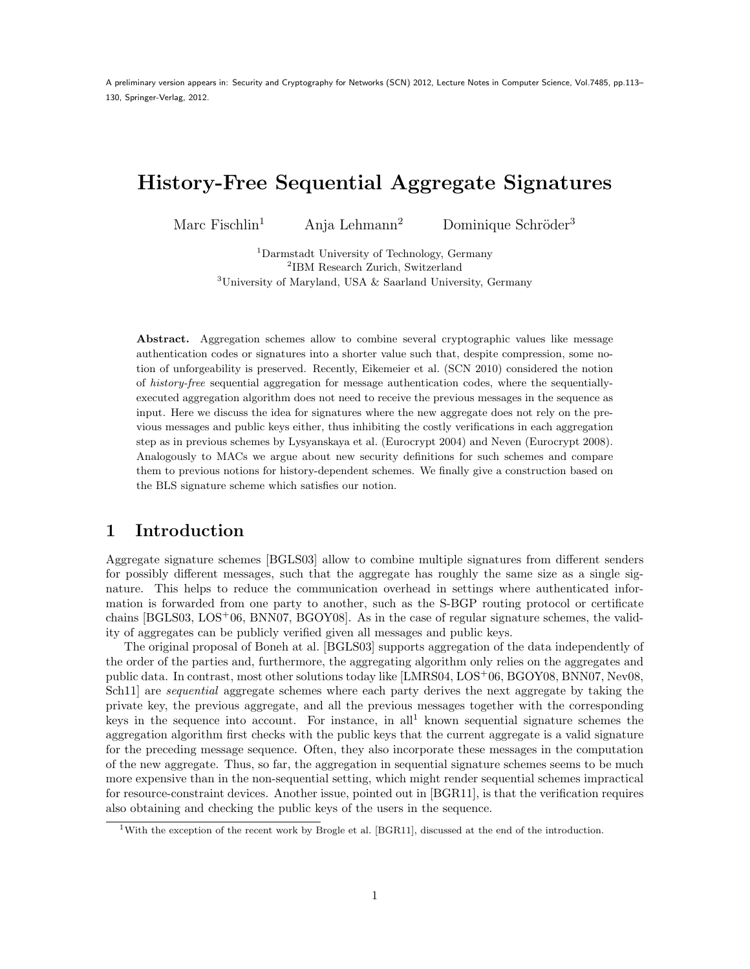A preliminary version appears in: Security and Cryptography for Networks (SCN) 2012, Lecture Notes in Computer Science, Vol.7485, pp.113– 130, Springer-Verlag, 2012.

# History-Free Sequential Aggregate Signatures

Marc Fischlin<sup>1</sup> Anja Lehmann<sup>2</sup> Dominique Schröder<sup>3</sup>

<sup>1</sup>Darmstadt University of Technology, Germany 2 IBM Research Zurich, Switzerland <sup>3</sup>University of Maryland, USA & Saarland University, Germany

Abstract. Aggregation schemes allow to combine several cryptographic values like message authentication codes or signatures into a shorter value such that, despite compression, some notion of unforgeability is preserved. Recently, Eikemeier et al. (SCN 2010) considered the notion of history-free sequential aggregation for message authentication codes, where the sequentiallyexecuted aggregation algorithm does not need to receive the previous messages in the sequence as input. Here we discuss the idea for signatures where the new aggregate does not rely on the previous messages and public keys either, thus inhibiting the costly verifications in each aggregation step as in previous schemes by Lysyanskaya et al. (Eurocrypt 2004) and Neven (Eurocrypt 2008). Analogously to MACs we argue about new security definitions for such schemes and compare them to previous notions for history-dependent schemes. We finally give a construction based on the BLS signature scheme which satisfies our notion.

# 1 Introduction

Aggregate signature schemes [BGLS03] allow to combine multiple signatures from different senders for possibly different messages, such that the aggregate has roughly the same size as a single signature. This helps to reduce the communication overhead in settings where authenticated information is forwarded from one party to another, such as the S-BGP routing protocol or certificate chains [BGLS03, LOS+06, BNN07, BGOY08]. As in the case of regular signature schemes, the validity of aggregates can be publicly verified given all messages and public keys.

The original proposal of Boneh at al. [BGLS03] supports aggregation of the data independently of the order of the parties and, furthermore, the aggregating algorithm only relies on the aggregates and public data. In contrast, most other solutions today like [LMRS04, LOS<sup>+</sup>06, BGOY08, BNN07, Nev08, Sch11] are *sequential* aggregate schemes where each party derives the next aggregate by taking the private key, the previous aggregate, and all the previous messages together with the corresponding keys in the sequence into account. For instance, in all<sup>1</sup> known sequential signature schemes the aggregation algorithm first checks with the public keys that the current aggregate is a valid signature for the preceding message sequence. Often, they also incorporate these messages in the computation of the new aggregate. Thus, so far, the aggregation in sequential signature schemes seems to be much more expensive than in the non-sequential setting, which might render sequential schemes impractical for resource-constraint devices. Another issue, pointed out in [BGR11], is that the verification requires also obtaining and checking the public keys of the users in the sequence.

<sup>&</sup>lt;sup>1</sup>With the exception of the recent work by Brogle et al. [BGR11], discussed at the end of the introduction.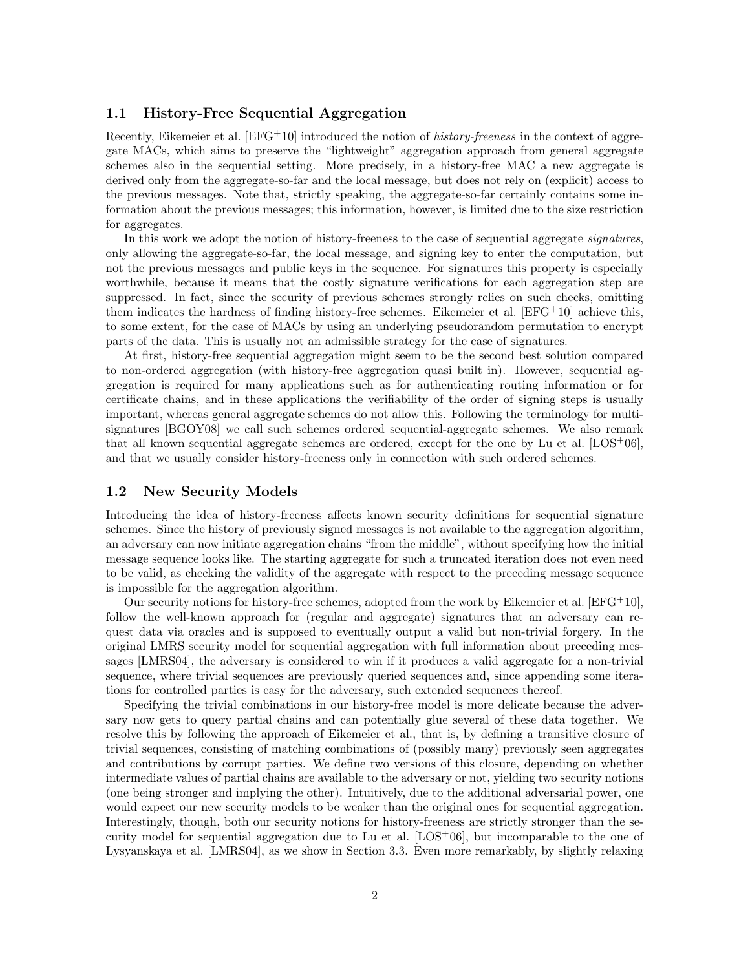#### 1.1 History-Free Sequential Aggregation

Recently, Eikemeier et al.  $[EFG^+10]$  introduced the notion of *history-freeness* in the context of aggregate MACs, which aims to preserve the "lightweight" aggregation approach from general aggregate schemes also in the sequential setting. More precisely, in a history-free MAC a new aggregate is derived only from the aggregate-so-far and the local message, but does not rely on (explicit) access to the previous messages. Note that, strictly speaking, the aggregate-so-far certainly contains some information about the previous messages; this information, however, is limited due to the size restriction for aggregates.

In this work we adopt the notion of history-freeness to the case of sequential aggregate *signatures*, only allowing the aggregate-so-far, the local message, and signing key to enter the computation, but not the previous messages and public keys in the sequence. For signatures this property is especially worthwhile, because it means that the costly signature verifications for each aggregation step are suppressed. In fact, since the security of previous schemes strongly relies on such checks, omitting them indicates the hardness of finding history-free schemes. Eikemeier et al.  $[EFG+10]$  achieve this, to some extent, for the case of MACs by using an underlying pseudorandom permutation to encrypt parts of the data. This is usually not an admissible strategy for the case of signatures.

At first, history-free sequential aggregation might seem to be the second best solution compared to non-ordered aggregation (with history-free aggregation quasi built in). However, sequential aggregation is required for many applications such as for authenticating routing information or for certificate chains, and in these applications the verifiability of the order of signing steps is usually important, whereas general aggregate schemes do not allow this. Following the terminology for multisignatures [BGOY08] we call such schemes ordered sequential-aggregate schemes. We also remark that all known sequential aggregate schemes are ordered, except for the one by Lu et al.  $[LOS^{+06}]$ , and that we usually consider history-freeness only in connection with such ordered schemes.

#### 1.2 New Security Models

Introducing the idea of history-freeness affects known security definitions for sequential signature schemes. Since the history of previously signed messages is not available to the aggregation algorithm, an adversary can now initiate aggregation chains "from the middle", without specifying how the initial message sequence looks like. The starting aggregate for such a truncated iteration does not even need to be valid, as checking the validity of the aggregate with respect to the preceding message sequence is impossible for the aggregation algorithm.

Our security notions for history-free schemes, adopted from the work by Eikemeier et al.  $[EFG^+10]$ , follow the well-known approach for (regular and aggregate) signatures that an adversary can request data via oracles and is supposed to eventually output a valid but non-trivial forgery. In the original LMRS security model for sequential aggregation with full information about preceding messages [LMRS04], the adversary is considered to win if it produces a valid aggregate for a non-trivial sequence, where trivial sequences are previously queried sequences and, since appending some iterations for controlled parties is easy for the adversary, such extended sequences thereof.

Specifying the trivial combinations in our history-free model is more delicate because the adversary now gets to query partial chains and can potentially glue several of these data together. We resolve this by following the approach of Eikemeier et al., that is, by defining a transitive closure of trivial sequences, consisting of matching combinations of (possibly many) previously seen aggregates and contributions by corrupt parties. We define two versions of this closure, depending on whether intermediate values of partial chains are available to the adversary or not, yielding two security notions (one being stronger and implying the other). Intuitively, due to the additional adversarial power, one would expect our new security models to be weaker than the original ones for sequential aggregation. Interestingly, though, both our security notions for history-freeness are strictly stronger than the security model for sequential aggregation due to Lu et al.  $[LS^{+06}]$ , but incomparable to the one of Lysyanskaya et al. [LMRS04], as we show in Section 3.3. Even more remarkably, by slightly relaxing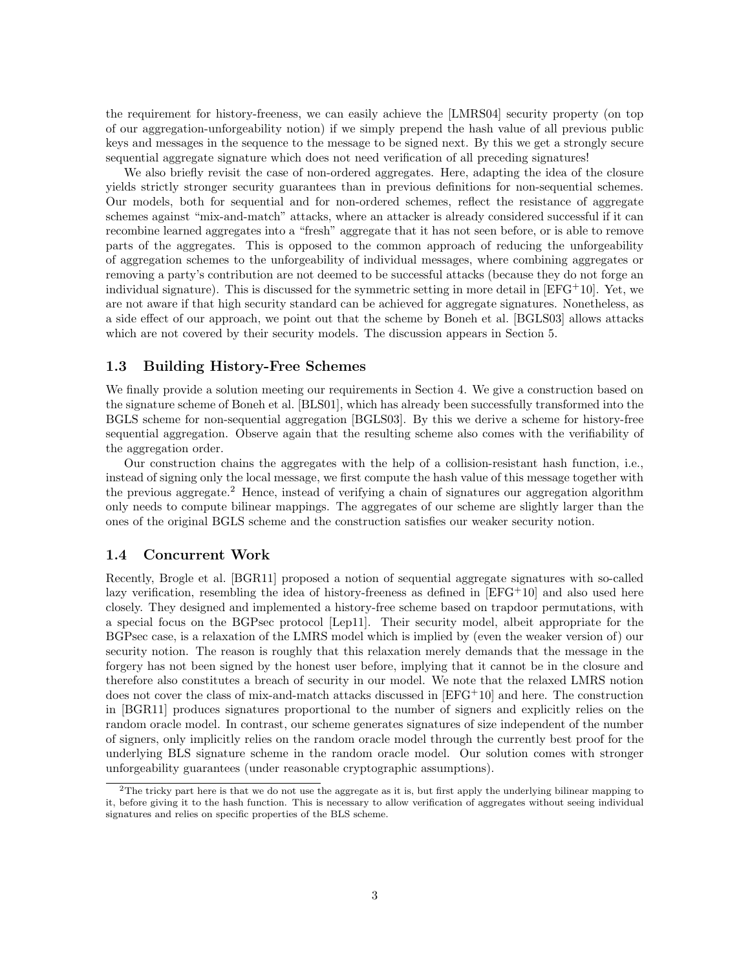the requirement for history-freeness, we can easily achieve the [LMRS04] security property (on top of our aggregation-unforgeability notion) if we simply prepend the hash value of all previous public keys and messages in the sequence to the message to be signed next. By this we get a strongly secure sequential aggregate signature which does not need verification of all preceding signatures!

We also briefly revisit the case of non-ordered aggregates. Here, adapting the idea of the closure yields strictly stronger security guarantees than in previous definitions for non-sequential schemes. Our models, both for sequential and for non-ordered schemes, reflect the resistance of aggregate schemes against "mix-and-match" attacks, where an attacker is already considered successful if it can recombine learned aggregates into a "fresh" aggregate that it has not seen before, or is able to remove parts of the aggregates. This is opposed to the common approach of reducing the unforgeability of aggregation schemes to the unforgeability of individual messages, where combining aggregates or removing a party's contribution are not deemed to be successful attacks (because they do not forge an individual signature). This is discussed for the symmetric setting in more detail in  $[EFG<sup>+</sup>10]$ . Yet, we are not aware if that high security standard can be achieved for aggregate signatures. Nonetheless, as a side effect of our approach, we point out that the scheme by Boneh et al. [BGLS03] allows attacks which are not covered by their security models. The discussion appears in Section 5.

#### 1.3 Building History-Free Schemes

We finally provide a solution meeting our requirements in Section 4. We give a construction based on the signature scheme of Boneh et al. [BLS01], which has already been successfully transformed into the BGLS scheme for non-sequential aggregation [BGLS03]. By this we derive a scheme for history-free sequential aggregation. Observe again that the resulting scheme also comes with the verifiability of the aggregation order.

Our construction chains the aggregates with the help of a collision-resistant hash function, i.e., instead of signing only the local message, we first compute the hash value of this message together with the previous aggregate.<sup>2</sup> Hence, instead of verifying a chain of signatures our aggregation algorithm only needs to compute bilinear mappings. The aggregates of our scheme are slightly larger than the ones of the original BGLS scheme and the construction satisfies our weaker security notion.

#### 1.4 Concurrent Work

Recently, Brogle et al. [BGR11] proposed a notion of sequential aggregate signatures with so-called lazy verification, resembling the idea of history-freeness as defined in  $[EFG+10]$  and also used here closely. They designed and implemented a history-free scheme based on trapdoor permutations, with a special focus on the BGPsec protocol [Lep11]. Their security model, albeit appropriate for the BGPsec case, is a relaxation of the LMRS model which is implied by (even the weaker version of) our security notion. The reason is roughly that this relaxation merely demands that the message in the forgery has not been signed by the honest user before, implying that it cannot be in the closure and therefore also constitutes a breach of security in our model. We note that the relaxed LMRS notion does not cover the class of mix-and-match attacks discussed in [EFG<sup>+</sup>10] and here. The construction in [BGR11] produces signatures proportional to the number of signers and explicitly relies on the random oracle model. In contrast, our scheme generates signatures of size independent of the number of signers, only implicitly relies on the random oracle model through the currently best proof for the underlying BLS signature scheme in the random oracle model. Our solution comes with stronger unforgeability guarantees (under reasonable cryptographic assumptions).

<sup>&</sup>lt;sup>2</sup>The tricky part here is that we do not use the aggregate as it is, but first apply the underlying bilinear mapping to it, before giving it to the hash function. This is necessary to allow verification of aggregates without seeing individual signatures and relies on specific properties of the BLS scheme.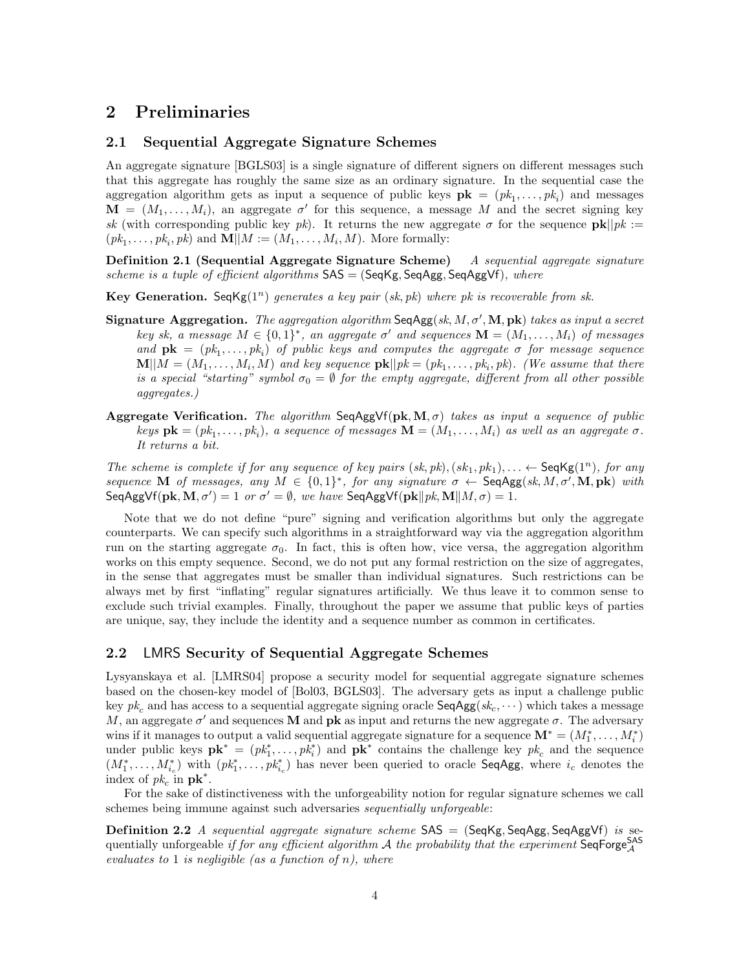### 2 Preliminaries

#### 2.1 Sequential Aggregate Signature Schemes

An aggregate signature [BGLS03] is a single signature of different signers on different messages such that this aggregate has roughly the same size as an ordinary signature. In the sequential case the aggregation algorithm gets as input a sequence of public keys  $\mathbf{pk} = (pk_1, \ldots, pk_i)$  and messages  $\mathbf{M} = (M_1, \ldots, M_i)$ , an aggregate  $\sigma'$  for this sequence, a message M and the secret signing key sk (with corresponding public key pk). It returns the new aggregate  $\sigma$  for the sequence  $\mathbf{pk}||pk :=$  $(pk_1, \ldots, pk_i, pk)$  and  $\mathbf{M} \mid M := (M_1, \ldots, M_i, M)$ . More formally:

Definition 2.1 (Sequential Aggregate Signature Scheme) A sequential aggregate signature scheme is a tuple of efficient algorithms  $SAS = (SeqKg, SeqAgg, SeqAggVf),$  where

Key Generation. SeqKg( $1^n$ ) generates a key pair (sk, pk) where pk is recoverable from sk.

- Signature Aggregation. The aggregation algorithm SeqAgg(sk, M,  $\sigma'$ , M, pk) takes as input a secret key sk, a message  $M \in \{0,1\}^*$ , an aggregate  $\sigma'$  and sequences  $\mathbf{M} = (M_1, \ldots, M_i)$  of messages and  $\mathbf{pk} = (pk_1, \ldots, pk_i)$  of public keys and computes the aggregate  $\sigma$  for message sequence  $\mathbf{M}||M = (M_1, \ldots, M_i, M)$  and key sequence  $\mathbf{pk}||pk = (pk_1, \ldots, pk_i, pk)$ . (We assume that there is a special "starting" symbol  $\sigma_0 = \emptyset$  for the empty aggregate, different from all other possible aggregates.)
- Aggregate Verification. The algorithm  $SeqAgQf(pk, M, \sigma)$  takes as input a sequence of public keys  $\mathbf{pk} = (pk_1, \ldots, pk_i)$ , a sequence of messages  $\mathbf{M} = (M_1, \ldots, M_i)$  as well as an aggregate  $\sigma$ . It returns a bit.

The scheme is complete if for any sequence of key pairs  $(sk, pk), (sk_1, pk_1), \ldots \leftarrow \text{SeqKg}(1^n)$ , for any sequence M of messages, any  $M \in \{0,1\}^*$ , for any signature  $\sigma \leftarrow \mathsf{SeqAgg}(sk, M, \sigma', \mathbf{M}, \mathbf{pk})$  with SeqAggVf(pk, M,  $\sigma'$ ) = 1 or  $\sigma' = \emptyset$ , we have SeqAggVf(pk $||pk, M||M, \sigma$ ) = 1.

Note that we do not define "pure" signing and verification algorithms but only the aggregate counterparts. We can specify such algorithms in a straightforward way via the aggregation algorithm run on the starting aggregate  $\sigma_0$ . In fact, this is often how, vice versa, the aggregation algorithm works on this empty sequence. Second, we do not put any formal restriction on the size of aggregates, in the sense that aggregates must be smaller than individual signatures. Such restrictions can be always met by first "inflating" regular signatures artificially. We thus leave it to common sense to exclude such trivial examples. Finally, throughout the paper we assume that public keys of parties are unique, say, they include the identity and a sequence number as common in certificates.

#### 2.2 LMRS Security of Sequential Aggregate Schemes

Lysyanskaya et al. [LMRS04] propose a security model for sequential aggregate signature schemes based on the chosen-key model of [Bol03, BGLS03]. The adversary gets as input a challenge public key  $pk_c$  and has access to a sequential aggregate signing oracle  $\textsf{SeqAgg}(sk_c, \dots)$  which takes a message M, an aggregate  $\sigma'$  and sequences M and pk as input and returns the new aggregate  $\sigma$ . The adversary wins if it manages to output a valid sequential aggregate signature for a sequence  $\mathbf{M}^* = (M_1^*, \ldots, M_i^*)$ under public keys  $\mathbf{p}\mathbf{k}^* = (pk_1^*, \ldots, pk_i^*)$  and  $\mathbf{p}\mathbf{k}^*$  contains the challenge key  $pk_c$  and the sequence  $(M_1^*,\ldots,M_{i_c}^*)$  with  $(pk_1^*,\ldots,pk_{i_c}^*)$  has never been queried to oracle **SeqAgg**, where  $i_c$  denotes the index of  $pk_c$  in  $\mathbf{pk}^*$ .

For the sake of distinctiveness with the unforgeability notion for regular signature schemes we call schemes being immune against such adversaries sequentially unforgeable:

**Definition 2.2** A sequential aggregate signature scheme  $SAS = (SeqKg, SeqAggVf)$  is sequentially unforgeable *if for any efficient algorithm* A the probability that the experiment  $\text{SeqForge}_{\mathcal{A}}^{\text{SAS}}$ evaluates to 1 is negligible (as a function of n), where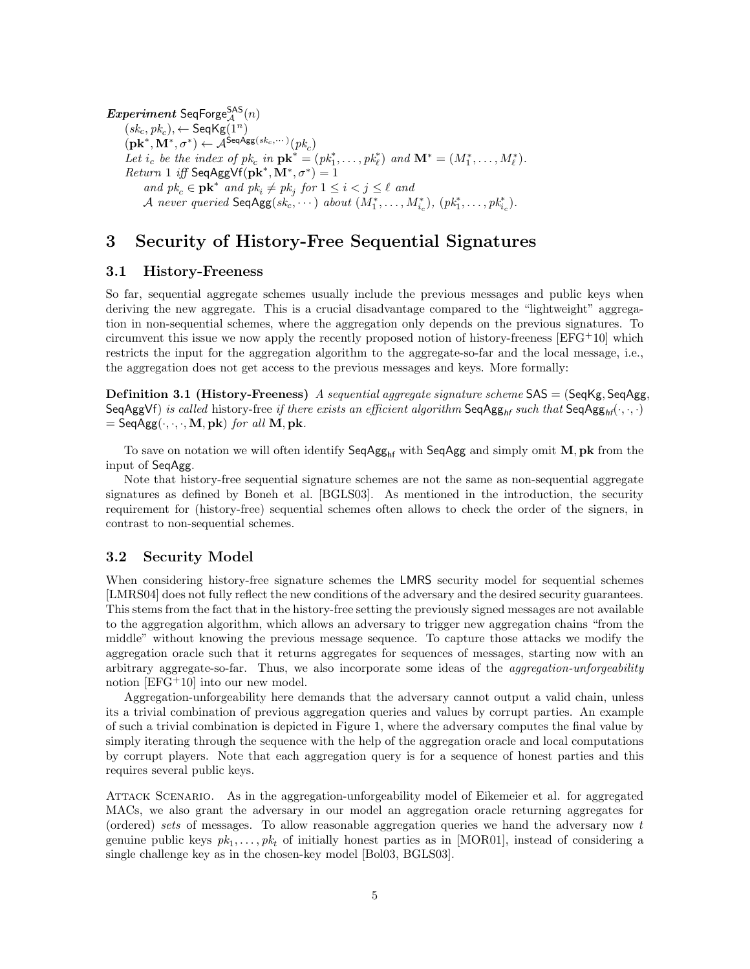$Experiment$  SeqForge $_{\mathcal{A}}^{\mathsf{SAS}}(n)$  $(\mathit{sk}_c, \mathit{pk}_c), \leftarrow \mathsf{SeqKg}(1^n)$  $(\mathbf{pk}^*, \mathbf{M}^*, \sigma^*) \leftarrow \mathcal{A}^{\mathsf{SeqAgg}(sk_c, \cdots)}(pk_c)$ Let  $i_c$  be the index of  $pk_c$  in  $\mathbf{pk}^* = (pk_1^*, \ldots, pk_\ell^*)$  and  $\mathbf{M}^* = (M_1^*, \ldots, M_\ell^*)$ .  $Return 1$  iff  $SeqAggVf(\mathbf{pk}^*, \mathbf{M}^*, \sigma^*) = 1$ and  $pk_c \in \mathbf{pk}^*$  and  $pk_i \neq pk_j$  for  $1 \leq i < j \leq \ell$  and A never queried  $\mathsf{SeqAgg}(sk_c, \dots)$  about  $(M^*_1, \dots, M^*_{i_c}), (pk^*_1, \dots, pk^*_{i_c}).$ 

# 3 Security of History-Free Sequential Signatures

#### 3.1 History-Freeness

So far, sequential aggregate schemes usually include the previous messages and public keys when deriving the new aggregate. This is a crucial disadvantage compared to the "lightweight" aggregation in non-sequential schemes, where the aggregation only depends on the previous signatures. To circumvent this issue we now apply the recently proposed notion of history-freeness  $[EEG+10]$  which restricts the input for the aggregation algorithm to the aggregate-so-far and the local message, i.e., the aggregation does not get access to the previous messages and keys. More formally:

Definition 3.1 (History-Freeness) A sequential aggregate signature scheme SAS = (SeqKg, SeqAgg, SeqAggVf) is called history-free if there exists an efficient algorithm SeqAgg<sub>hf</sub> such that SeqAgg<sub>hf</sub>( $\cdot, \cdot, \cdot$ )  $=$  SeqAgg $(\cdot, \cdot, \cdot, M, \mathbf{pk})$  for all  $M, \mathbf{pk}$ .

To save on notation we will often identify  $SeqAgg_{hf}$  with  $SeqAgg$  and simply omit  $M$ , pk from the input of SeqAgg.

Note that history-free sequential signature schemes are not the same as non-sequential aggregate signatures as defined by Boneh et al. [BGLS03]. As mentioned in the introduction, the security requirement for (history-free) sequential schemes often allows to check the order of the signers, in contrast to non-sequential schemes.

#### 3.2 Security Model

When considering history-free signature schemes the LMRS security model for sequential schemes [LMRS04] does not fully reflect the new conditions of the adversary and the desired security guarantees. This stems from the fact that in the history-free setting the previously signed messages are not available to the aggregation algorithm, which allows an adversary to trigger new aggregation chains "from the middle" without knowing the previous message sequence. To capture those attacks we modify the aggregation oracle such that it returns aggregates for sequences of messages, starting now with an arbitrary aggregate-so-far. Thus, we also incorporate some ideas of the aggregation-unforgeability notion [EFG<sup>+</sup>10] into our new model.

Aggregation-unforgeability here demands that the adversary cannot output a valid chain, unless its a trivial combination of previous aggregation queries and values by corrupt parties. An example of such a trivial combination is depicted in Figure 1, where the adversary computes the final value by simply iterating through the sequence with the help of the aggregation oracle and local computations by corrupt players. Note that each aggregation query is for a sequence of honest parties and this requires several public keys.

Attack Scenario. As in the aggregation-unforgeability model of Eikemeier et al. for aggregated MACs, we also grant the adversary in our model an aggregation oracle returning aggregates for (ordered) sets of messages. To allow reasonable aggregation queries we hand the adversary now t genuine public keys  $pk_1, \ldots, pk_t$  of initially honest parties as in [MOR01], instead of considering a single challenge key as in the chosen-key model [Bol03, BGLS03].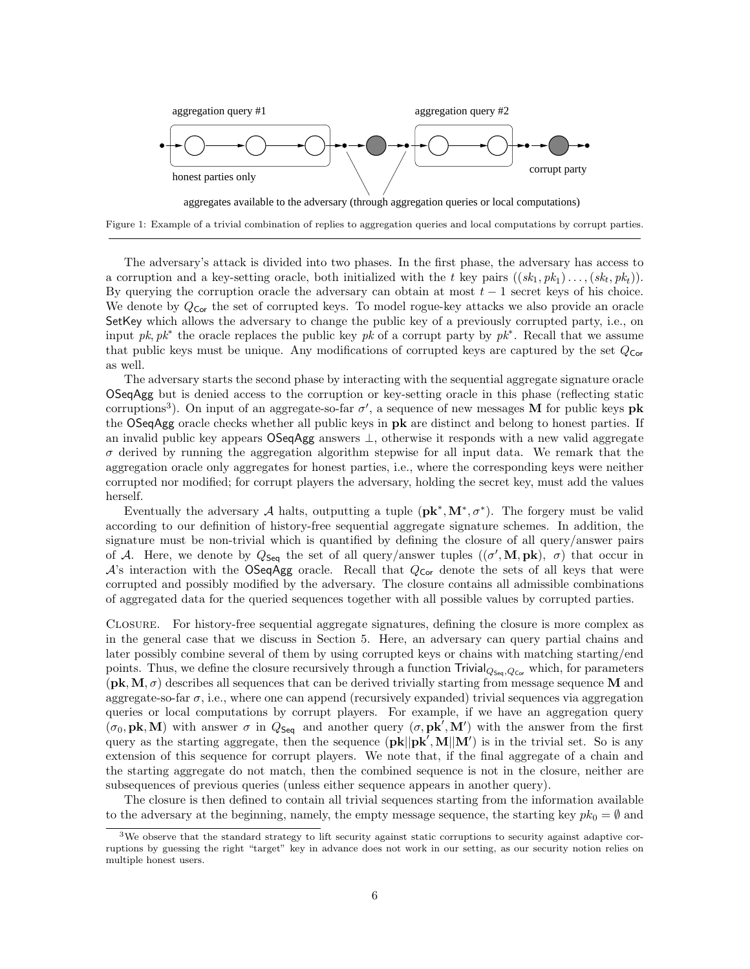

Figure 1: Example of a trivial combination of replies to aggregation queries and local computations by corrupt parties.

The adversary's attack is divided into two phases. In the first phase, the adversary has access to a corruption and a key-setting oracle, both initialized with the t key pairs  $((sk_1, pk_1) \ldots, (sk_t, pk_t))$ . By querying the corruption oracle the adversary can obtain at most  $t - 1$  secret keys of his choice. We denote by  $Q_{\text{Cor}}$  the set of corrupted keys. To model rogue-key attacks we also provide an oracle SetKey which allows the adversary to change the public key of a previously corrupted party, i.e., on input pk, pk<sup>\*</sup> the oracle replaces the public key pk of a corrupt party by pk<sup>\*</sup>. Recall that we assume that public keys must be unique. Any modifications of corrupted keys are captured by the set  $Q_{\text{Cor}}$ as well.

The adversary starts the second phase by interacting with the sequential aggregate signature oracle OSeqAgg but is denied access to the corruption or key-setting oracle in this phase (reflecting static corruptions<sup>3</sup>). On input of an aggregate-so-far  $\sigma'$ , a sequence of new messages **M** for public keys **pk** the OSeqAgg oracle checks whether all public keys in pk are distinct and belong to honest parties. If an invalid public key appears OSeqAgg answers ⊥, otherwise it responds with a new valid aggregate  $\sigma$  derived by running the aggregation algorithm stepwise for all input data. We remark that the aggregation oracle only aggregates for honest parties, i.e., where the corresponding keys were neither corrupted nor modified; for corrupt players the adversary, holding the secret key, must add the values herself.

Eventually the adversary A halts, outputting a tuple  $(\mathbf{pk}^*, \mathbf{M}^*, \sigma^*)$ . The forgery must be valid according to our definition of history-free sequential aggregate signature schemes. In addition, the signature must be non-trivial which is quantified by defining the closure of all query/answer pairs of A. Here, we denote by  $Q_{\mathsf{Seq}}$  the set of all query/answer tuples  $((\sigma', \mathbf{M}, \mathbf{pk}), \sigma)$  that occur in  $\mathcal{A}$ 's interaction with the OSeqAgg oracle. Recall that  $Q_{\text{Cor}}$  denote the sets of all keys that were corrupted and possibly modified by the adversary. The closure contains all admissible combinations of aggregated data for the queried sequences together with all possible values by corrupted parties.

Closure. For history-free sequential aggregate signatures, defining the closure is more complex as in the general case that we discuss in Section 5. Here, an adversary can query partial chains and later possibly combine several of them by using corrupted keys or chains with matching starting/end points. Thus, we define the closure recursively through a function  $Triivial_{Q_{Seq},Q_{Cor}}$  which, for parameters  $(\mathbf{pk}, \mathbf{M}, \sigma)$  describes all sequences that can be derived trivially starting from message sequence M and aggregate-so-far  $\sigma$ , i.e., where one can append (recursively expanded) trivial sequences via aggregation queries or local computations by corrupt players. For example, if we have an aggregation query  $(\sigma_0, \mathbf{pk}, \mathbf{M})$  with answer  $\sigma$  in  $Q_{\mathsf{Seq}}$  and another query  $(\sigma, \mathbf{pk}', \mathbf{M}')$  with the answer from the first query as the starting aggregate, then the sequence  $(\mathbf{pk}||\mathbf{pk}',\mathbf{M}||\mathbf{M}')$  is in the trivial set. So is any extension of this sequence for corrupt players. We note that, if the final aggregate of a chain and the starting aggregate do not match, then the combined sequence is not in the closure, neither are subsequences of previous queries (unless either sequence appears in another query).

The closure is then defined to contain all trivial sequences starting from the information available to the adversary at the beginning, namely, the empty message sequence, the starting key  $pk_0 = \emptyset$  and

<sup>&</sup>lt;sup>3</sup>We observe that the standard strategy to lift security against static corruptions to security against adaptive corruptions by guessing the right "target" key in advance does not work in our setting, as our security notion relies on multiple honest users.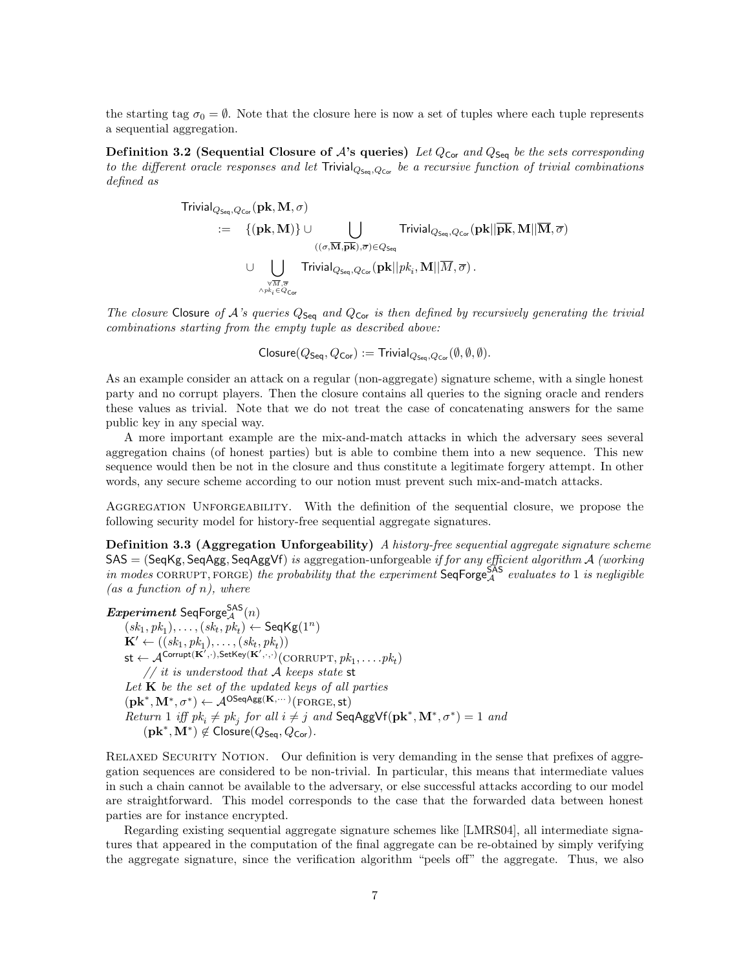the starting tag  $\sigma_0 = \emptyset$ . Note that the closure here is now a set of tuples where each tuple represents a sequential aggregation.

**Definition 3.2 (Sequential Closure of A's queries)** Let  $Q_{\text{Cor}}$  and  $Q_{\text{Seq}}$  be the sets corresponding to the different oracle responses and let  $Trivial_{Q_{Seq},Q_{Cor}}$  be a recursive function of trivial combinations defined as

$$
\begin{aligned} \text{Trivial}_{Q_{\mathsf{Seq}}, Q_{\mathsf{Cor}}}(\mathbf{pk}, \mathbf{M}, \sigma) \\ &:= \; \{(\mathbf{pk}, \mathbf{M})\} \cup \bigcup_{\substack{((\sigma, \overline{\mathbf{M}}, \overline{\mathbf{pk}}), \overline{\sigma}) \in Q_{\mathsf{Seq}}} \qquad \qquad \text{Trivial}_{Q_{\mathsf{Seq}}, Q_{\mathsf{Cor}}}(\mathbf{pk} || \overline{\mathbf{pk}}, \mathbf{M} || \overline{\mathbf{M}}, \overline{\sigma}) \\ &\cup \bigcup_{\substack{\forall \overline{M}, \overline{\sigma} \\ \wedge p k_i \in Q_{\mathsf{Cor}}} \qquad \qquad \text{Trivial}_{Q_{\mathsf{Seq}}, Q_{\mathsf{Cor}}}(\mathbf{pk} || p k_i, \mathbf{M} || \overline{M}, \overline{\sigma}) \,. \end{aligned}
$$

The closure Closure of A's queries  $Q_{\text{Seq}}$  and  $Q_{\text{Cor}}$  is then defined by recursively generating the trivial combinations starting from the empty tuple as described above:

$$
\mathsf{Closure}(Q_{\mathsf{Seq}},Q_{\mathsf{Cor}}) := \mathsf{Trivial}_{Q_{\mathsf{Seq}},Q_{\mathsf{Cor}}}(\emptyset,\emptyset,\emptyset).
$$

As an example consider an attack on a regular (non-aggregate) signature scheme, with a single honest party and no corrupt players. Then the closure contains all queries to the signing oracle and renders these values as trivial. Note that we do not treat the case of concatenating answers for the same public key in any special way.

A more important example are the mix-and-match attacks in which the adversary sees several aggregation chains (of honest parties) but is able to combine them into a new sequence. This new sequence would then be not in the closure and thus constitute a legitimate forgery attempt. In other words, any secure scheme according to our notion must prevent such mix-and-match attacks.

Aggregation Unforgeability. With the definition of the sequential closure, we propose the following security model for history-free sequential aggregate signatures.

**Definition 3.3 (Aggregation Unforgeability)** A history-free sequential aggregate signature scheme  $SAS = (SeqKg, SeqAgg, SeqAggVf)$  is aggregation-unforgeable if for any efficient algorithm A (working in modes CORRUPT, FORGE) the probability that the experiment  $\text{SeqForge}_{\mathcal{A}}^{\text{SAS}}$  evaluates to 1 is negligible (as a function of n), where

 $Experiment$  SeqForge $_A^{\mathsf{SAS}}(n)$  $(sk_1, pk_1), \ldots, (sk_t, pk_t) \leftarrow \mathsf{SeqKg}(1^n)$  $\mathbf{K}' \leftarrow ((sk_1, pk_1), \ldots, (sk_t, pk_t))$  $\mathsf{st} \leftarrow \mathcal{A}^{\mathsf{Corrupt}(\mathbf{K}'),\cdot),\mathsf{SetKey}(\mathbf{K}',\cdot,\cdot)}(\mathrm{CORRUPT},\allowbreak \allowbreak pk_1,\allowbreak \ldots \allowbreak pk_t)$  $//$  it is understood that  $A$  keeps state st Let  $K$  be the set of the updated keys of all parties  $(\mathbf{pk}^*, \mathbf{M}^*, \sigma^*) \leftarrow \mathcal{A}^{\mathsf{OSeqAgg}(\mathbf{K}, \cdots)}(\text{FORGE}, \mathsf{st})$ Return 1 iff  $pk_i \neq pk_j$  for all  $i \neq j$  and  $SeqAggVf(\mathbf{pk}^*, \mathbf{M}^*, \sigma^*) = 1$  and  $(\mathbf{pk}^*, \mathbf{M}^*) \notin \mathsf{Closure}(Q_{\mathsf{Seq}}, Q_{\mathsf{Cor}}).$ 

RELAXED SECURITY NOTION. Our definition is very demanding in the sense that prefixes of aggregation sequences are considered to be non-trivial. In particular, this means that intermediate values in such a chain cannot be available to the adversary, or else successful attacks according to our model are straightforward. This model corresponds to the case that the forwarded data between honest parties are for instance encrypted.

Regarding existing sequential aggregate signature schemes like [LMRS04], all intermediate signatures that appeared in the computation of the final aggregate can be re-obtained by simply verifying the aggregate signature, since the verification algorithm "peels off" the aggregate. Thus, we also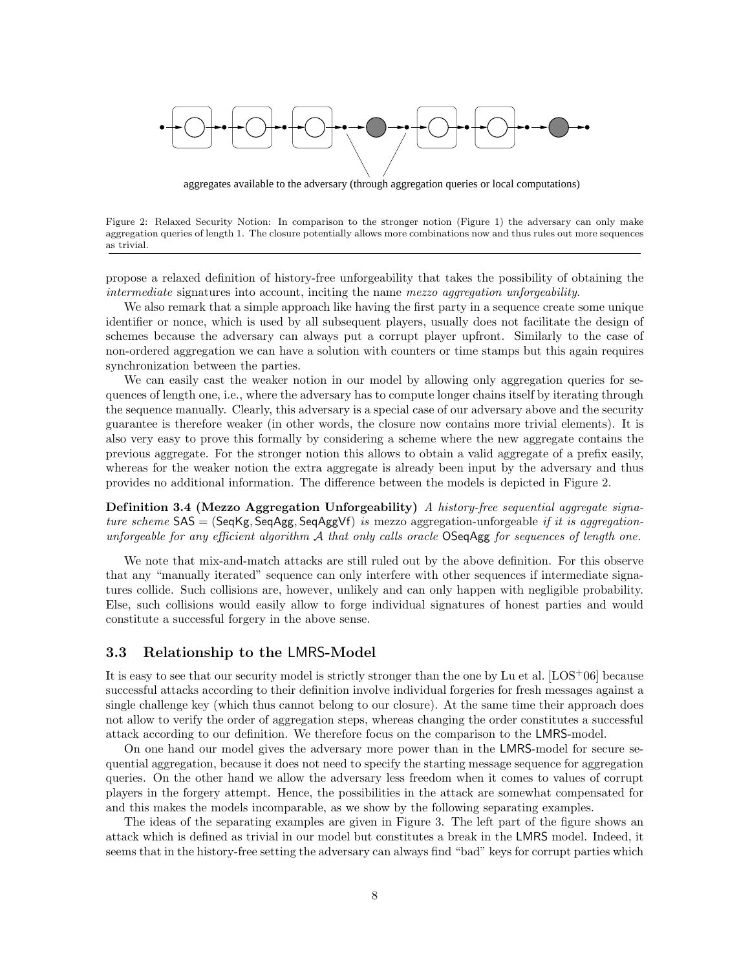

aggregates available to the adversary (through aggregation queries or local computations)

Figure 2: Relaxed Security Notion: In comparison to the stronger notion (Figure 1) the adversary can only make aggregation queries of length 1. The closure potentially allows more combinations now and thus rules out more sequences as trivial.

propose a relaxed definition of history-free unforgeability that takes the possibility of obtaining the intermediate signatures into account, inciting the name mezzo aggregation unforgeability.

We also remark that a simple approach like having the first party in a sequence create some unique identifier or nonce, which is used by all subsequent players, usually does not facilitate the design of schemes because the adversary can always put a corrupt player upfront. Similarly to the case of non-ordered aggregation we can have a solution with counters or time stamps but this again requires synchronization between the parties.

We can easily cast the weaker notion in our model by allowing only aggregation queries for sequences of length one, i.e., where the adversary has to compute longer chains itself by iterating through the sequence manually. Clearly, this adversary is a special case of our adversary above and the security guarantee is therefore weaker (in other words, the closure now contains more trivial elements). It is also very easy to prove this formally by considering a scheme where the new aggregate contains the previous aggregate. For the stronger notion this allows to obtain a valid aggregate of a prefix easily, whereas for the weaker notion the extra aggregate is already been input by the adversary and thus provides no additional information. The difference between the models is depicted in Figure 2.

**Definition 3.4 (Mezzo Aggregation Unforgeability)** A history-free sequential aggregate signature scheme  $SAS = (SeqKg, SeqAgg, SeqAggVf)$  is mezzo aggregation-unforgeable if it is aggregationunforgeable for any efficient algorithm  $A$  that only calls oracle  $OSeqAgg$  for sequences of length one.

We note that mix-and-match attacks are still ruled out by the above definition. For this observe that any "manually iterated" sequence can only interfere with other sequences if intermediate signatures collide. Such collisions are, however, unlikely and can only happen with negligible probability. Else, such collisions would easily allow to forge individual signatures of honest parties and would constitute a successful forgery in the above sense.

#### 3.3 Relationship to the LMRS-Model

It is easy to see that our security model is strictly stronger than the one by Lu et al.  $[LOS^+06]$  because successful attacks according to their definition involve individual forgeries for fresh messages against a single challenge key (which thus cannot belong to our closure). At the same time their approach does not allow to verify the order of aggregation steps, whereas changing the order constitutes a successful attack according to our definition. We therefore focus on the comparison to the LMRS-model.

On one hand our model gives the adversary more power than in the LMRS-model for secure sequential aggregation, because it does not need to specify the starting message sequence for aggregation queries. On the other hand we allow the adversary less freedom when it comes to values of corrupt players in the forgery attempt. Hence, the possibilities in the attack are somewhat compensated for and this makes the models incomparable, as we show by the following separating examples.

The ideas of the separating examples are given in Figure 3. The left part of the figure shows an attack which is defined as trivial in our model but constitutes a break in the LMRS model. Indeed, it seems that in the history-free setting the adversary can always find "bad" keys for corrupt parties which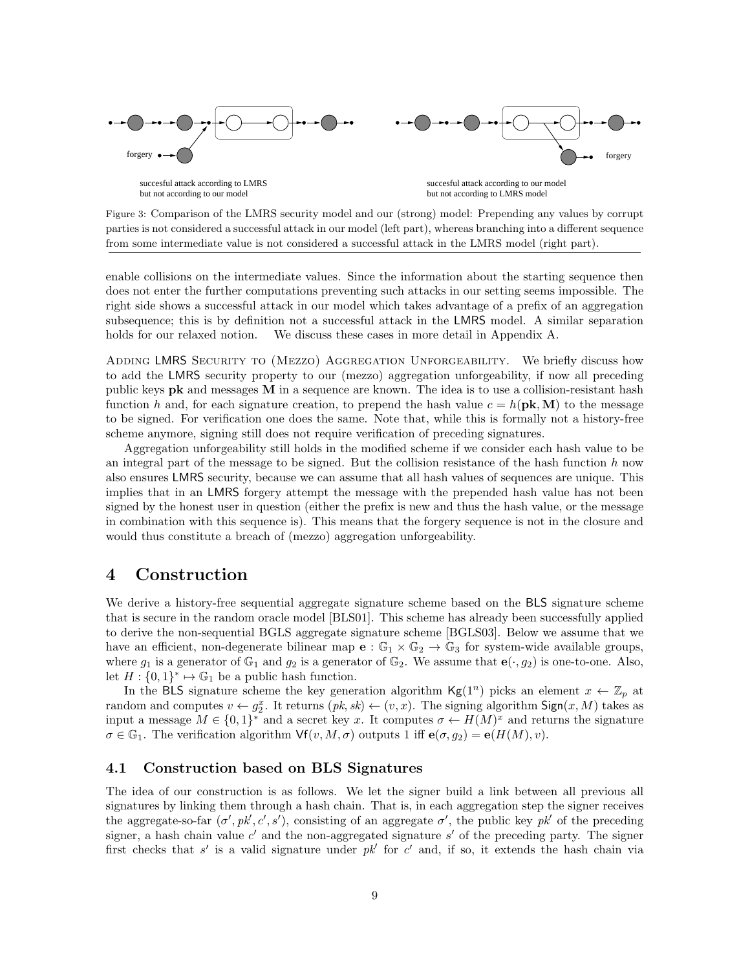

Figure 3: Comparison of the LMRS security model and our (strong) model: Prepending any values by corrupt parties is not considered a successful attack in our model (left part), whereas branching into a different sequence from some intermediate value is not considered a successful attack in the LMRS model (right part).

enable collisions on the intermediate values. Since the information about the starting sequence then does not enter the further computations preventing such attacks in our setting seems impossible. The right side shows a successful attack in our model which takes advantage of a prefix of an aggregation subsequence; this is by definition not a successful attack in the LMRS model. A similar separation holds for our relaxed notion. We discuss these cases in more detail in Appendix A.

Adding LMRS Security to (Mezzo) Aggregation Unforgeability. We briefly discuss how to add the LMRS security property to our (mezzo) aggregation unforgeability, if now all preceding public keys pk and messages M in a sequence are known. The idea is to use a collision-resistant hash function h and, for each signature creation, to prepend the hash value  $c = h(\mathbf{pk}, \mathbf{M})$  to the message to be signed. For verification one does the same. Note that, while this is formally not a history-free scheme anymore, signing still does not require verification of preceding signatures.

Aggregation unforgeability still holds in the modified scheme if we consider each hash value to be an integral part of the message to be signed. But the collision resistance of the hash function  $h$  now also ensures LMRS security, because we can assume that all hash values of sequences are unique. This implies that in an LMRS forgery attempt the message with the prepended hash value has not been signed by the honest user in question (either the prefix is new and thus the hash value, or the message in combination with this sequence is). This means that the forgery sequence is not in the closure and would thus constitute a breach of (mezzo) aggregation unforgeability.

### 4 Construction

We derive a history-free sequential aggregate signature scheme based on the BLS signature scheme that is secure in the random oracle model [BLS01]. This scheme has already been successfully applied to derive the non-sequential BGLS aggregate signature scheme [BGLS03]. Below we assume that we have an efficient, non-degenerate bilinear map  $e : \mathbb{G}_1 \times \mathbb{G}_2 \to \mathbb{G}_3$  for system-wide available groups, where  $g_1$  is a generator of  $\mathbb{G}_1$  and  $g_2$  is a generator of  $\mathbb{G}_2$ . We assume that  $\mathbf{e}(\cdot, g_2)$  is one-to-one. Also, let  $H: \{0,1\}^* \mapsto \mathbb{G}_1$  be a public hash function.

In the BLS signature scheme the key generation algorithm  $\text{Kg}(1^n)$  picks an element  $x \leftarrow \mathbb{Z}_p$  at random and computes  $v \leftarrow g_2^x$ . It returns  $(pk, sk) \leftarrow (v, x)$ . The signing algorithm Sign $(x, M)$  takes as input a message  $M \in \{0,1\}^*$  and a secret key x. It computes  $\sigma \leftarrow H(M)^x$  and returns the signature  $\sigma \in \mathbb{G}_1$ . The verification algorithm  $\mathsf{Vf}(v, M, \sigma)$  outputs 1 iff  $\mathbf{e}(\sigma, g_2) = \mathbf{e}(H(M), v)$ .

#### 4.1 Construction based on BLS Signatures

The idea of our construction is as follows. We let the signer build a link between all previous all signatures by linking them through a hash chain. That is, in each aggregation step the signer receives the aggregate-so-far  $(\sigma', p k', c', s')$ , consisting of an aggregate  $\sigma'$ , the public key  $p k'$  of the preceding signer, a hash chain value  $c'$  and the non-aggregated signature  $s'$  of the preceding party. The signer first checks that s' is a valid signature under  $pk'$  for c' and, if so, it extends the hash chain via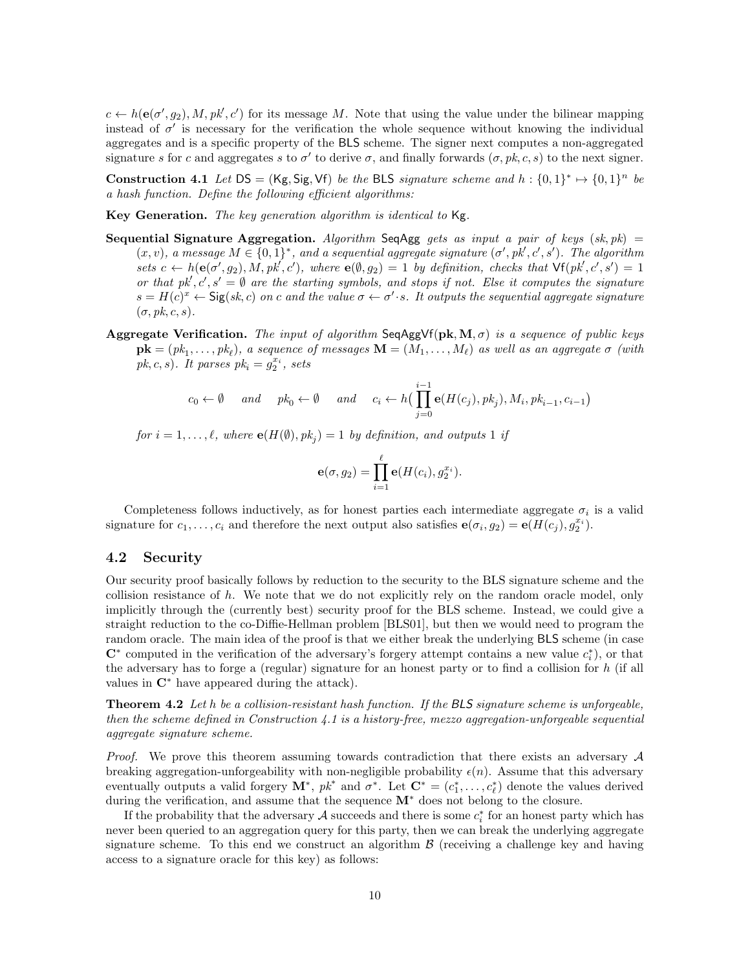$c \leftarrow h(\mathbf{e}(\sigma', g_2), M, pk', c')$  for its message M. Note that using the value under the bilinear mapping instead of  $\sigma'$  is necessary for the verification the whole sequence without knowing the individual aggregates and is a specific property of the BLS scheme. The signer next computes a non-aggregated signature s for c and aggregates s to  $\sigma'$  to derive  $\sigma$ , and finally forwards  $(\sigma, pk, c, s)$  to the next signer.

**Construction 4.1** Let  $DS = (Kg, Sig, Vf)$  be the BLS signature scheme and  $h: \{0,1\}^* \mapsto \{0,1\}^n$  be a hash function. Define the following efficient algorithms:

Key Generation. The key generation algorithm is identical to Kg.

- Sequential Signature Aggregation. Algorithm SeqAgg gets as input a pair of keys (sk, pk) =  $(x, v)$ , a message  $M \in \{0, 1\}^*$ , and a sequential aggregate signature  $(\sigma', pk', c', s')$ . The algorithm sets  $c \leftarrow h(\mathbf{e}(\sigma', g_2), M, pk', c')$ , where  $\mathbf{e}(\emptyset, g_2) = 1$  by definition, checks that  $\mathsf{Vf}(pk', c', s') = 1$ or that  $pk, c', s' = \emptyset$  are the starting symbols, and stops if not. Else it computes the signature  $s = H(c)^x \leftarrow$  Sig(sk, c) on c and the value  $\sigma \leftarrow \sigma' \cdot s$ . It outputs the sequential aggregate signature  $(\sigma, pk, c, s).$
- Aggregate Verification. The input of algorithm SeqAggVf(pk,  $M, \sigma$ ) is a sequence of public keys  $\mathbf{pk} = (pk_1, \ldots, pk_\ell)$ , a sequence of messages  $\mathbf{M} = (M_1, \ldots, M_\ell)$  as well as an aggregate  $\sigma$  (with  $pk, c, s$ ). It parses  $pk_i = g_2^{x_i}$ , sets

$$
c_0 \leftarrow \emptyset
$$
 and  $p k_0 \leftarrow \emptyset$  and  $c_i \leftarrow h\left(\prod_{j=0}^{i-1} \mathbf{e}(H(c_j), p k_j), M_i, p k_{i-1}, c_{i-1}\right)$ 

 $for i = 1, \ldots, \ell,$  where  $\mathbf{e}(H(\emptyset), pk_j) = 1$  by definition, and outputs 1 if

$$
\mathbf{e}(\sigma, g_2) = \prod_{i=1}^{\ell} \mathbf{e}(H(c_i), g_2^{x_i}).
$$

Completeness follows inductively, as for honest parties each intermediate aggregate  $\sigma_i$  is a valid signature for  $c_1, \ldots, c_i$  and therefore the next output also satisfies  $\mathbf{e}(\sigma_i, g_2) = \mathbf{e}(H(c_j), g_2^{x_i})$ .

#### 4.2 Security

Our security proof basically follows by reduction to the security to the BLS signature scheme and the collision resistance of h. We note that we do not explicitly rely on the random oracle model, only implicitly through the (currently best) security proof for the BLS scheme. Instead, we could give a straight reduction to the co-Diffie-Hellman problem [BLS01], but then we would need to program the random oracle. The main idea of the proof is that we either break the underlying BLS scheme (in case  $\mathbb{C}^*$  computed in the verification of the adversary's forgery attempt contains a new value  $c_i^*$ ), or that the adversary has to forge a (regular) signature for an honest party or to find a collision for h (if all values in  $\mathbb{C}^*$  have appeared during the attack).

Theorem 4.2 Let h be a collision-resistant hash function. If the BLS signature scheme is unforgeable, then the scheme defined in Construction  $4.1$  is a history-free, mezzo aggregation-unforgeable sequential aggregate signature scheme.

*Proof.* We prove this theorem assuming towards contradiction that there exists an adversary  $A$ breaking aggregation-unforgeability with non-negligible probability  $\epsilon(n)$ . Assume that this adversary eventually outputs a valid forgery  $\mathbf{M}^*, p k^*$  and  $\sigma^*$ . Let  $\mathbf{C}^* = (c_1^*, \ldots, c_{\ell}^*)$  denote the values derived during the verification, and assume that the sequence M<sup>∗</sup> does not belong to the closure.

If the probability that the adversary  $A$  succeeds and there is some  $c_i^*$  for an honest party which has never been queried to an aggregation query for this party, then we can break the underlying aggregate signature scheme. To this end we construct an algorithm  $\beta$  (receiving a challenge key and having access to a signature oracle for this key) as follows: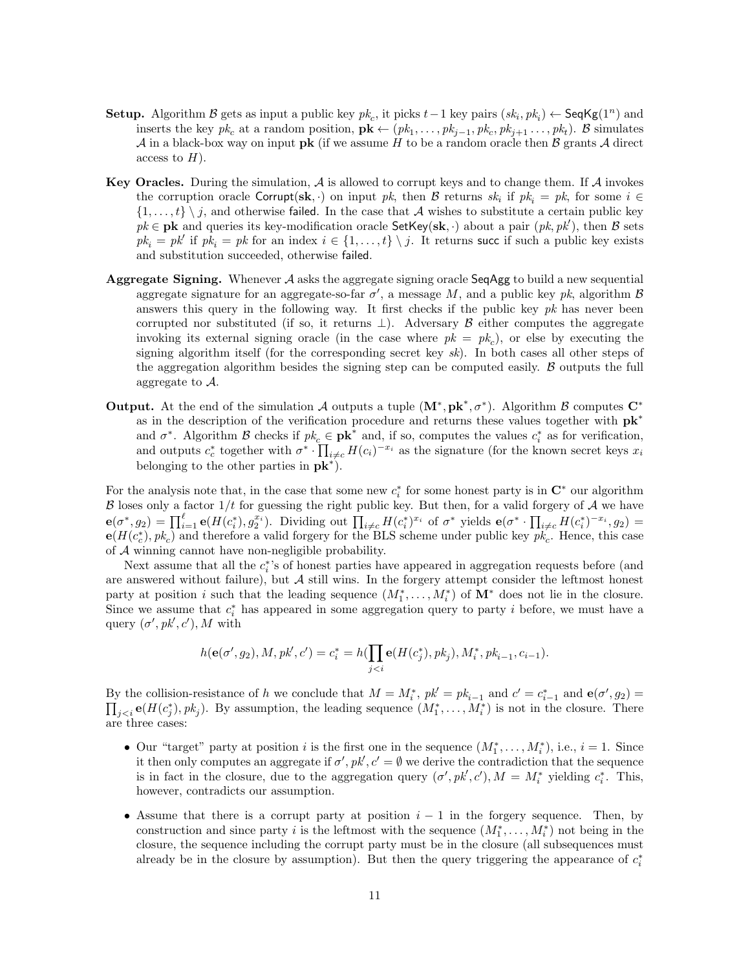- Setup. Algorithm B gets as input a public key  $pk_c$ , it picks  $t-1$  key pairs  $(sk_i, pk_i$ ) ← SeqKg(1<sup>n</sup>) and inserts the key  $pk_c$  at a random position,  $\mathbf{pk} \leftarrow (pk_1, \ldots, pk_{j-1}, pk_c, pk_{j+1}, \ldots, pk_t)$ . B simulates A in a black-box way on input **pk** (if we assume H to be a random oracle then B grants A direct access to  $H$ ).
- Key Oracles. During the simulation,  $A$  is allowed to corrupt keys and to change them. If  $A$  invokes the corruption oracle Corrupt(sk, ·) on input pk, then B returns  $sk_i$  if  $pk_i = pk$ , for some  $i \in$  $\{1, \ldots, t\} \setminus j$ , and otherwise failed. In the case that A wishes to substitute a certain public key  $pk \in \mathbf{pk}$  and queries its key-modification oracle  $\mathsf{SetKey}(\mathbf{sk}, \cdot)$  about a pair  $(pk, pk')$ , then B sets  $pk_i = pk'$  if  $pk_i = pk$  for an index  $i \in \{1, ..., t\} \setminus j$ . It returns succ if such a public key exists and substitution succeeded, otherwise failed.
- **Aggregate Signing.** Whenever  $\mathcal A$  asks the aggregate signing oracle SeqAgg to build a new sequential aggregate signature for an aggregate-so-far  $\sigma'$ , a message M, and a public key pk, algorithm  $\mathcal B$ answers this query in the following way. It first checks if the public key  $pk$  has never been corrupted nor substituted (if so, it returns  $\perp$ ). Adversary B either computes the aggregate invoking its external signing oracle (in the case where  $pk = pk_c$ ), or else by executing the signing algorithm itself (for the corresponding secret key  $sk$ ). In both cases all other steps of the aggregation algorithm besides the signing step can be computed easily.  $\beta$  outputs the full aggregate to  $A$ .
- **Output.** At the end of the simulation A outputs a tuple  $(M^*, p\mathbf{k}^*, \sigma^*)$ . Algorithm B computes  $\mathbf{C}^*$ as in the description of the verification procedure and returns these values together with  $\mathbf{p}\mathbf{k}^*$ and  $\sigma^*$ . Algorithm B checks if  $pk_c \in \mathbf{pk}^*$  and, if so, computes the values  $c_i^*$  as for verification, and outputs  $c_c^*$  together with  $\sigma^* \cdot \prod_{i \neq c} H(c_i)^{-x_i}$  as the signature (for the known secret keys  $x_i$ belonging to the other parties in  $\mathbf{pk}^*$ ).

For the analysis note that, in the case that some new  $c_i^*$  for some honest party is in  $\mathbb{C}^*$  our algorithm B loses only a factor  $1/t$  for guessing the right public key. But then, for a valid forgery of A we have  $e(\sigma^*, g_2) = \prod_{i=1}^{\ell} e(H(c_i^*), g_2^{x_i})$ . Dividing out  $\prod_{i \neq c} H(c_i^*)^{x_i}$  of  $\sigma^*$  yields  $e(\sigma^* \cdot \prod_{i \neq c} H(c_i^*)^{-x_i}, g_2)$  $e(H(c_c^*), pk_c)$  and therefore a valid forgery for the BLS scheme under public key  $pk_c$ . Hence, this case of A winning cannot have non-negligible probability.

Next assume that all the  $c_i^*$ 's of honest parties have appeared in aggregation requests before (and are answered without failure), but  $A$  still wins. In the forgery attempt consider the leftmost honest party at position i such that the leading sequence  $(M_1^*, \ldots, M_i^*)$  of  $\mathbf{M}^*$  does not lie in the closure. Since we assume that  $c_i^*$  has appeared in some aggregation query to party i before, we must have a query  $(\sigma', p k', c'), M$  with

$$
h(\mathbf{e}(\sigma', g_2), M, pk', c') = c_i^* = h(\prod_{j
$$

By the collision-resistance of h we conclude that  $M = M_i^*$ ,  $pk' = pk_{i-1}$  and  $c' = c_{i-1}^*$  and  $e(\sigma', g_2) =$  $\prod_{j. By assumption, the leading sequence  $(M_1^*, \ldots, M_i^*)$  is not in the closure. There$ are three cases:

- Our "target" party at position i is the first one in the sequence  $(M_1^*, \ldots, M_i^*)$ , i.e.,  $i = 1$ . Since it then only computes an aggregate if  $\sigma'$ ,  $pk'$ ,  $c' = \emptyset$  we derive the contradiction that the sequence is in fact in the closure, due to the aggregation query  $(\sigma', p k', c')$ ,  $M = M_i^*$  yielding  $c_i^*$ . This, however, contradicts our assumption.
- Assume that there is a corrupt party at position  $i 1$  in the forgery sequence. Then, by construction and since party i is the leftmost with the sequence  $(M_1^*, \ldots, M_i^*)$  not being in the closure, the sequence including the corrupt party must be in the closure (all subsequences must already be in the closure by assumption). But then the query triggering the appearance of  $c_i^*$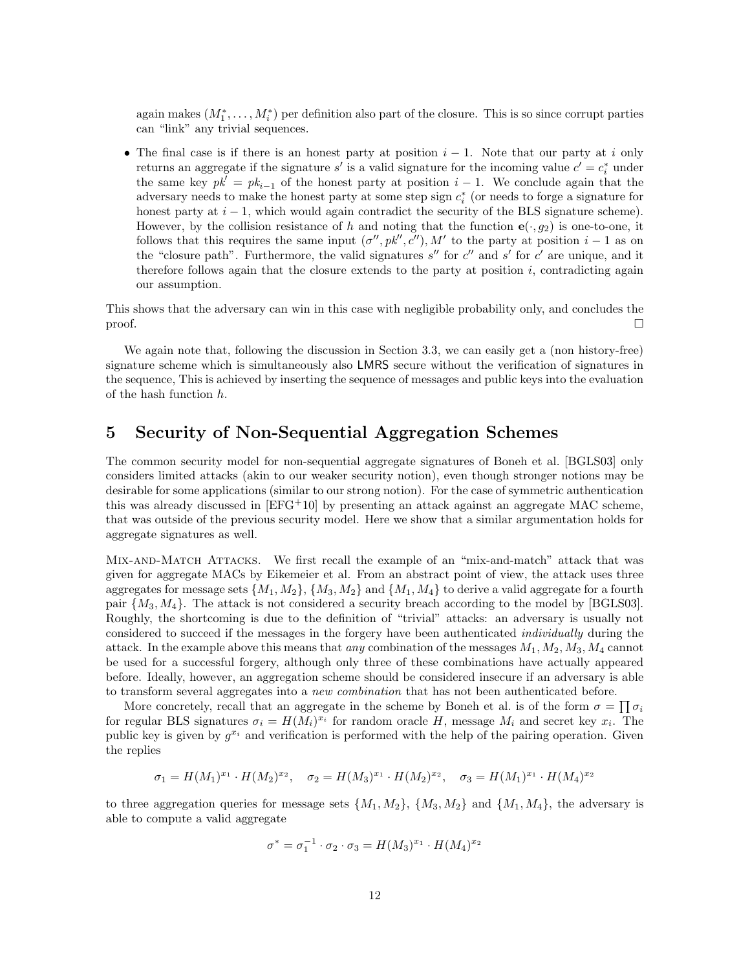again makes  $(M_1^*, \ldots, M_i^*)$  per definition also part of the closure. This is so since corrupt parties can "link" any trivial sequences.

• The final case is if there is an honest party at position  $i - 1$ . Note that our party at i only returns an aggregate if the signature s' is a valid signature for the incoming value  $c' = c_i^*$  under the same key  $pk' = pk_{i-1}$  of the honest party at position  $i-1$ . We conclude again that the adversary needs to make the honest party at some step sign  $c_i^*$  (or needs to forge a signature for honest party at  $i - 1$ , which would again contradict the security of the BLS signature scheme). However, by the collision resistance of h and noting that the function  $e(\cdot, g_2)$  is one-to-one, it follows that this requires the same input  $(\sigma'', p k'', c''), M'$  to the party at position  $i - 1$  as on the "closure path". Furthermore, the valid signatures  $s''$  for  $c''$  and  $s'$  for  $c'$  are unique, and it therefore follows again that the closure extends to the party at position  $i$ , contradicting again our assumption.

This shows that the adversary can win in this case with negligible probability only, and concludes the  $\Box$ 

We again note that, following the discussion in Section 3.3, we can easily get a (non history-free) signature scheme which is simultaneously also LMRS secure without the verification of signatures in the sequence, This is achieved by inserting the sequence of messages and public keys into the evaluation of the hash function h.

# 5 Security of Non-Sequential Aggregation Schemes

The common security model for non-sequential aggregate signatures of Boneh et al. [BGLS03] only considers limited attacks (akin to our weaker security notion), even though stronger notions may be desirable for some applications (similar to our strong notion). For the case of symmetric authentication this was already discussed in  $[EFG+10]$  by presenting an attack against an aggregate MAC scheme, that was outside of the previous security model. Here we show that a similar argumentation holds for aggregate signatures as well.

Mix-and-Match Attacks. We first recall the example of an "mix-and-match" attack that was given for aggregate MACs by Eikemeier et al. From an abstract point of view, the attack uses three aggregates for message sets  $\{M_1, M_2\}, \{M_3, M_2\}$  and  $\{M_1, M_4\}$  to derive a valid aggregate for a fourth pair  $\{M_3, M_4\}$ . The attack is not considered a security breach according to the model by [BGLS03]. Roughly, the shortcoming is due to the definition of "trivial" attacks: an adversary is usually not considered to succeed if the messages in the forgery have been authenticated individually during the attack. In the example above this means that *any* combination of the messages  $M_1, M_2, M_3, M_4$  cannot be used for a successful forgery, although only three of these combinations have actually appeared before. Ideally, however, an aggregation scheme should be considered insecure if an adversary is able to transform several aggregates into a new combination that has not been authenticated before.

More concretely, recall that an aggregate in the scheme by Boneh et al. is of the form  $\sigma = \prod \sigma_i$ for regular BLS signatures  $\sigma_i = H(M_i)^{x_i}$  for random oracle H, message  $M_i$  and secret key  $x_i$ . The public key is given by  $g^{x_i}$  and verification is performed with the help of the pairing operation. Given the replies

$$
\sigma_1 = H(M_1)^{x_1} \cdot H(M_2)^{x_2}, \quad \sigma_2 = H(M_3)^{x_1} \cdot H(M_2)^{x_2}, \quad \sigma_3 = H(M_1)^{x_1} \cdot H(M_4)^{x_2}
$$

to three aggregation queries for message sets  $\{M_1, M_2\}$ ,  $\{M_3, M_2\}$  and  $\{M_1, M_4\}$ , the adversary is able to compute a valid aggregate

$$
\sigma^* = \sigma_1^{-1} \cdot \sigma_2 \cdot \sigma_3 = H(M_3)^{x_1} \cdot H(M_4)^{x_2}
$$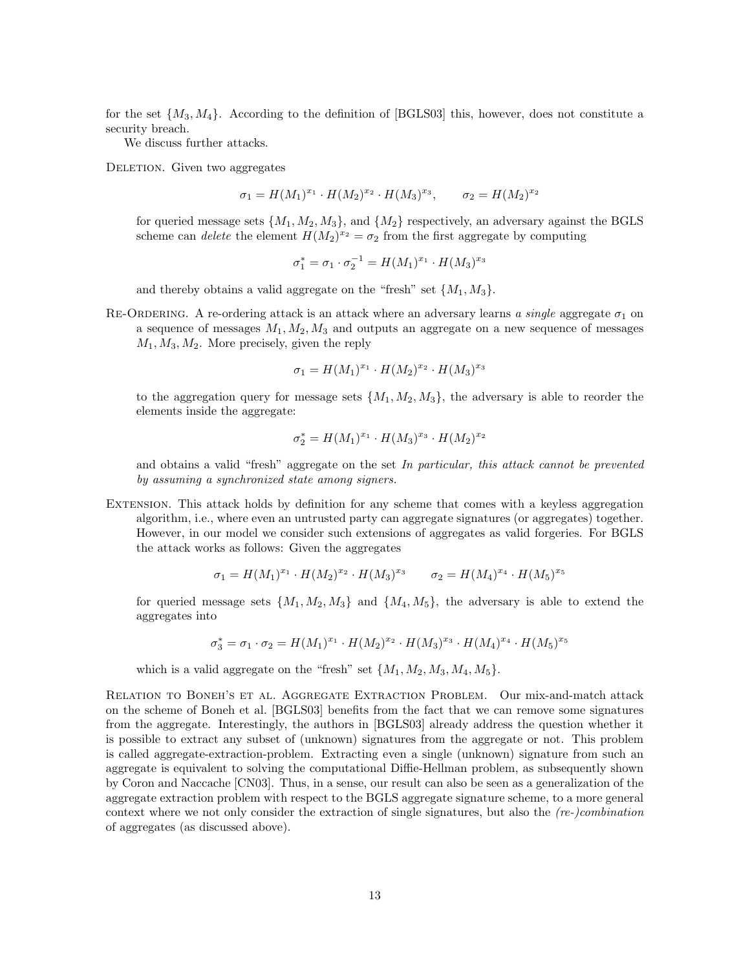for the set  $\{M_3, M_4\}$ . According to the definition of [BGLS03] this, however, does not constitute a security breach.

We discuss further attacks.

DELETION. Given two aggregates

$$
\sigma_1 = H(M_1)^{x_1} \cdot H(M_2)^{x_2} \cdot H(M_3)^{x_3}, \qquad \sigma_2 = H(M_2)^{x_2}
$$

for queried message sets  $\{M_1, M_2, M_3\}$ , and  $\{M_2\}$  respectively, an adversary against the BGLS scheme can *delete* the element  $H(M_2)^{x_2} = \sigma_2$  from the first aggregate by computing

$$
\sigma_1^* = \sigma_1 \cdot \sigma_2^{-1} = H(M_1)^{x_1} \cdot H(M_3)^{x_3}
$$

and thereby obtains a valid aggregate on the "fresh" set  $\{M_1, M_3\}$ .

RE-ORDERING. A re-ordering attack is an attack where an adversary learns a single aggregate  $\sigma_1$  on a sequence of messages  $M_1, M_2, M_3$  and outputs an aggregate on a new sequence of messages  $M_1, M_3, M_2$ . More precisely, given the reply

$$
\sigma_1 = H(M_1)^{x_1} \cdot H(M_2)^{x_2} \cdot H(M_3)^{x_3}
$$

to the aggregation query for message sets  $\{M_1, M_2, M_3\}$ , the adversary is able to reorder the elements inside the aggregate:

$$
\sigma_2^* = H(M_1)^{x_1} \cdot H(M_3)^{x_3} \cdot H(M_2)^{x_2}
$$

and obtains a valid "fresh" aggregate on the set In particular, this attack cannot be prevented by assuming a synchronized state among signers.

Extension. This attack holds by definition for any scheme that comes with a keyless aggregation algorithm, i.e., where even an untrusted party can aggregate signatures (or aggregates) together. However, in our model we consider such extensions of aggregates as valid forgeries. For BGLS the attack works as follows: Given the aggregates

$$
\sigma_1 = H(M_1)^{x_1} \cdot H(M_2)^{x_2} \cdot H(M_3)^{x_3} \qquad \sigma_2 = H(M_4)^{x_4} \cdot H(M_5)^{x_5}
$$

for queried message sets  $\{M_1, M_2, M_3\}$  and  $\{M_4, M_5\}$ , the adversary is able to extend the aggregates into

$$
\sigma_3^* = \sigma_1 \cdot \sigma_2 = H(M_1)^{x_1} \cdot H(M_2)^{x_2} \cdot H(M_3)^{x_3} \cdot H(M_4)^{x_4} \cdot H(M_5)^{x_5}
$$

which is a valid aggregate on the "fresh" set  $\{M_1, M_2, M_3, M_4, M_5\}$ .

Relation to Boneh's et al. Aggregate Extraction Problem. Our mix-and-match attack on the scheme of Boneh et al. [BGLS03] benefits from the fact that we can remove some signatures from the aggregate. Interestingly, the authors in [BGLS03] already address the question whether it is possible to extract any subset of (unknown) signatures from the aggregate or not. This problem is called aggregate-extraction-problem. Extracting even a single (unknown) signature from such an aggregate is equivalent to solving the computational Diffie-Hellman problem, as subsequently shown by Coron and Naccache [CN03]. Thus, in a sense, our result can also be seen as a generalization of the aggregate extraction problem with respect to the BGLS aggregate signature scheme, to a more general context where we not only consider the extraction of single signatures, but also the (re-)combination of aggregates (as discussed above).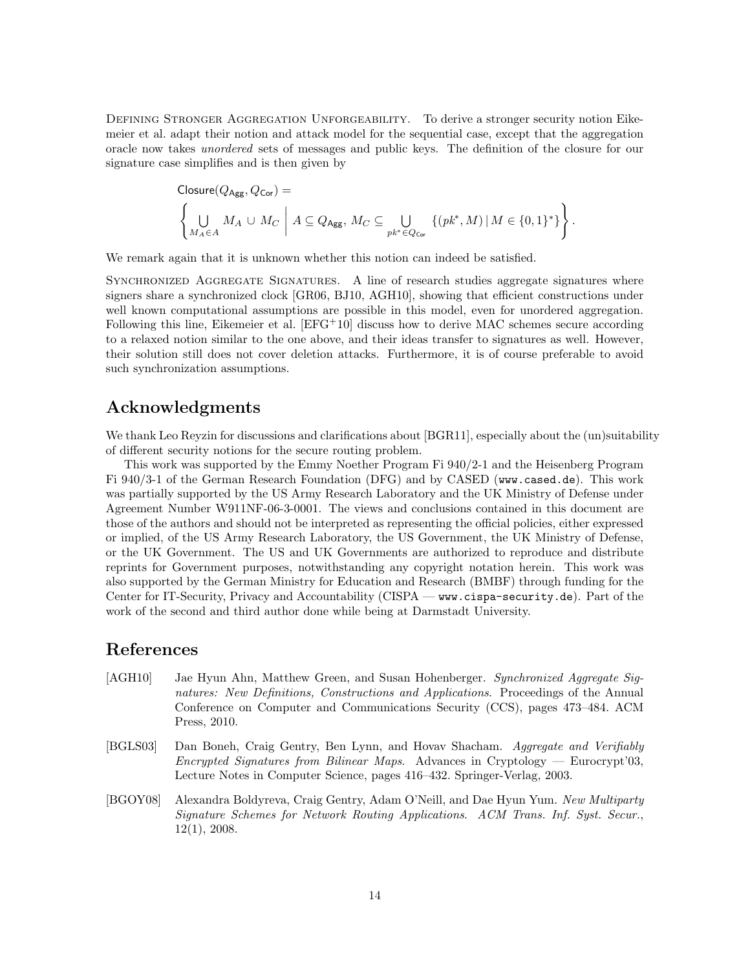Defining Stronger Aggregation Unforgeability. To derive a stronger security notion Eikemeier et al. adapt their notion and attack model for the sequential case, except that the aggregation oracle now takes unordered sets of messages and public keys. The definition of the closure for our signature case simplifies and is then given by

$$
\begin{aligned}\n\text{Closure}(Q_{\text{Agg}}, Q_{\text{Cor}}) &= \\
\left\{\bigcup_{M_A \in A} M_A \cup M_C \; \middle| \; A \subseteq Q_{\text{Agg}}, M_C \subseteq \bigcup_{pk^* \in Q_{\text{Cor}}} \{(pk^*, M) \, | \, M \in \{0, 1\}^*\}\right\}.\n\end{aligned}
$$

We remark again that it is unknown whether this notion can indeed be satisfied.

SYNCHRONIZED AGGREGATE SIGNATURES. A line of research studies aggregate signatures where signers share a synchronized clock [GR06, BJ10, AGH10], showing that efficient constructions under well known computational assumptions are possible in this model, even for unordered aggregation. Following this line, Eikemeier et al.  $[EFG+10]$  discuss how to derive MAC schemes secure according to a relaxed notion similar to the one above, and their ideas transfer to signatures as well. However, their solution still does not cover deletion attacks. Furthermore, it is of course preferable to avoid such synchronization assumptions.

## Acknowledgments

We thank Leo Reyzin for discussions and clarifications about [BGR11], especially about the (un)suitability of different security notions for the secure routing problem.

This work was supported by the Emmy Noether Program Fi 940/2-1 and the Heisenberg Program Fi 940/3-1 of the German Research Foundation (DFG) and by CASED (www.cased.de). This work was partially supported by the US Army Research Laboratory and the UK Ministry of Defense under Agreement Number W911NF-06-3-0001. The views and conclusions contained in this document are those of the authors and should not be interpreted as representing the official policies, either expressed or implied, of the US Army Research Laboratory, the US Government, the UK Ministry of Defense, or the UK Government. The US and UK Governments are authorized to reproduce and distribute reprints for Government purposes, notwithstanding any copyright notation herein. This work was also supported by the German Ministry for Education and Research (BMBF) through funding for the Center for IT-Security, Privacy and Accountability (CISPA — www.cispa-security.de). Part of the work of the second and third author done while being at Darmstadt University.

### References

- [AGH10] Jae Hyun Ahn, Matthew Green, and Susan Hohenberger. Synchronized Aggregate Signatures: New Definitions, Constructions and Applications. Proceedings of the Annual Conference on Computer and Communications Security (CCS), pages 473–484. ACM Press, 2010.
- [BGLS03] Dan Boneh, Craig Gentry, Ben Lynn, and Hovav Shacham. Aggregate and Verifiably Encrypted Signatures from Bilinear Maps. Advances in Cryptology — Eurocrypt'03, Lecture Notes in Computer Science, pages 416–432. Springer-Verlag, 2003.
- [BGOY08] Alexandra Boldyreva, Craig Gentry, Adam O'Neill, and Dae Hyun Yum. New Multiparty Signature Schemes for Network Routing Applications. ACM Trans. Inf. Syst. Secur., 12(1), 2008.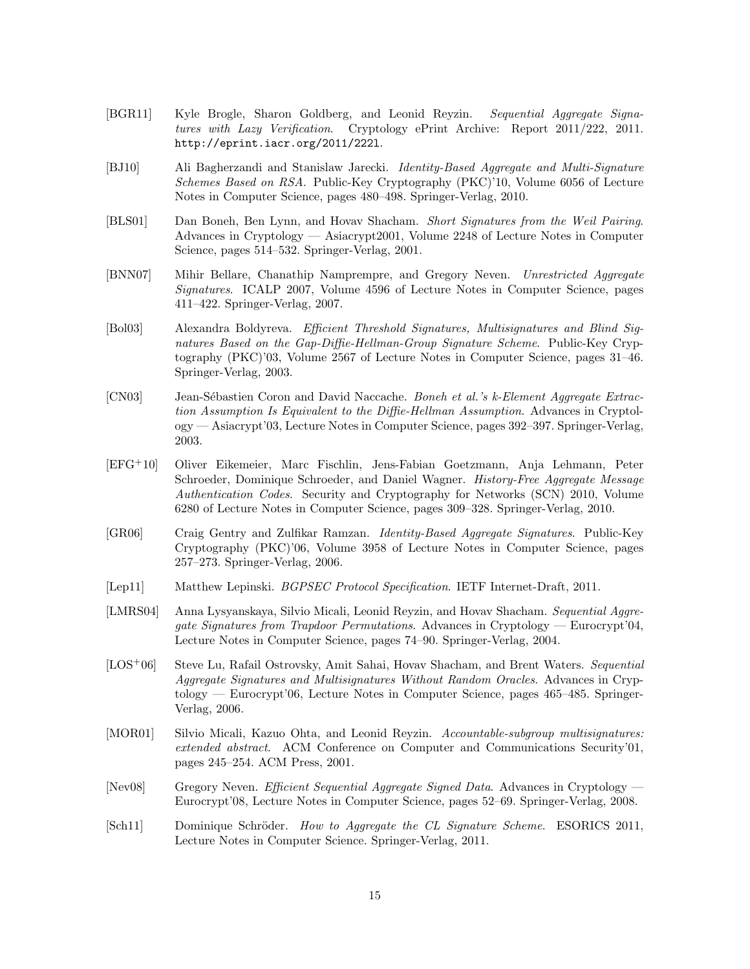- [BGR11] Kyle Brogle, Sharon Goldberg, and Leonid Reyzin. Sequential Aggregate Signatures with Lazy Verification. Cryptology ePrint Archive: Report 2011/222, 2011. http://eprint.iacr.org/2011/222l.
- [BJ10] Ali Bagherzandi and Stanislaw Jarecki. Identity-Based Aggregate and Multi-Signature Schemes Based on RSA. Public-Key Cryptography (PKC)'10, Volume 6056 of Lecture Notes in Computer Science, pages 480–498. Springer-Verlag, 2010.
- [BLS01] Dan Boneh, Ben Lynn, and Hovav Shacham. Short Signatures from the Weil Pairing. Advances in Cryptology — Asiacrypt2001, Volume 2248 of Lecture Notes in Computer Science, pages 514–532. Springer-Verlag, 2001.
- [BNN07] Mihir Bellare, Chanathip Namprempre, and Gregory Neven. Unrestricted Aggregate Signatures. ICALP 2007, Volume 4596 of Lecture Notes in Computer Science, pages 411–422. Springer-Verlag, 2007.
- [Bol03] Alexandra Boldyreva. Efficient Threshold Signatures, Multisignatures and Blind Signatures Based on the Gap-Diffie-Hellman-Group Signature Scheme. Public-Key Cryptography (PKC)'03, Volume 2567 of Lecture Notes in Computer Science, pages 31–46. Springer-Verlag, 2003.
- [CN03] Jean-Sébastien Coron and David Naccache. Boneh et al.'s k-Element Aggregate Extraction Assumption Is Equivalent to the Diffie-Hellman Assumption. Advances in Cryptology — Asiacrypt'03, Lecture Notes in Computer Science, pages 392–397. Springer-Verlag, 2003.
- [EFG+10] Oliver Eikemeier, Marc Fischlin, Jens-Fabian Goetzmann, Anja Lehmann, Peter Schroeder, Dominique Schroeder, and Daniel Wagner. *History-Free Aggregate Message* Authentication Codes. Security and Cryptography for Networks (SCN) 2010, Volume 6280 of Lecture Notes in Computer Science, pages 309–328. Springer-Verlag, 2010.
- [GR06] Craig Gentry and Zulfikar Ramzan. Identity-Based Aggregate Signatures. Public-Key Cryptography (PKC)'06, Volume 3958 of Lecture Notes in Computer Science, pages 257–273. Springer-Verlag, 2006.
- [Lep11] Matthew Lepinski. BGPSEC Protocol Specification. IETF Internet-Draft, 2011.
- [LMRS04] Anna Lysyanskaya, Silvio Micali, Leonid Reyzin, and Hovav Shacham. Sequential Aggregate Signatures from Trapdoor Permutations. Advances in Cryptology — Eurocrypt'04, Lecture Notes in Computer Science, pages 74–90. Springer-Verlag, 2004.
- [LOS<sup>+</sup>06] Steve Lu, Rafail Ostrovsky, Amit Sahai, Hovav Shacham, and Brent Waters. Sequential Aggregate Signatures and Multisignatures Without Random Oracles. Advances in Cryptology — Eurocrypt'06, Lecture Notes in Computer Science, pages 465–485. Springer-Verlag, 2006.
- [MOR01] Silvio Micali, Kazuo Ohta, and Leonid Revzin. Accountable-subgroup multisignatures: extended abstract. ACM Conference on Computer and Communications Security'01, pages 245–254. ACM Press, 2001.
- [Nev08] Gregory Neven. *Efficient Sequential Aggregate Signed Data*. Advances in Cryptology -Eurocrypt'08, Lecture Notes in Computer Science, pages 52–69. Springer-Verlag, 2008.
- [Sch11] Dominique Schröder. How to Aggregate the CL Signature Scheme. ESORICS 2011, Lecture Notes in Computer Science. Springer-Verlag, 2011.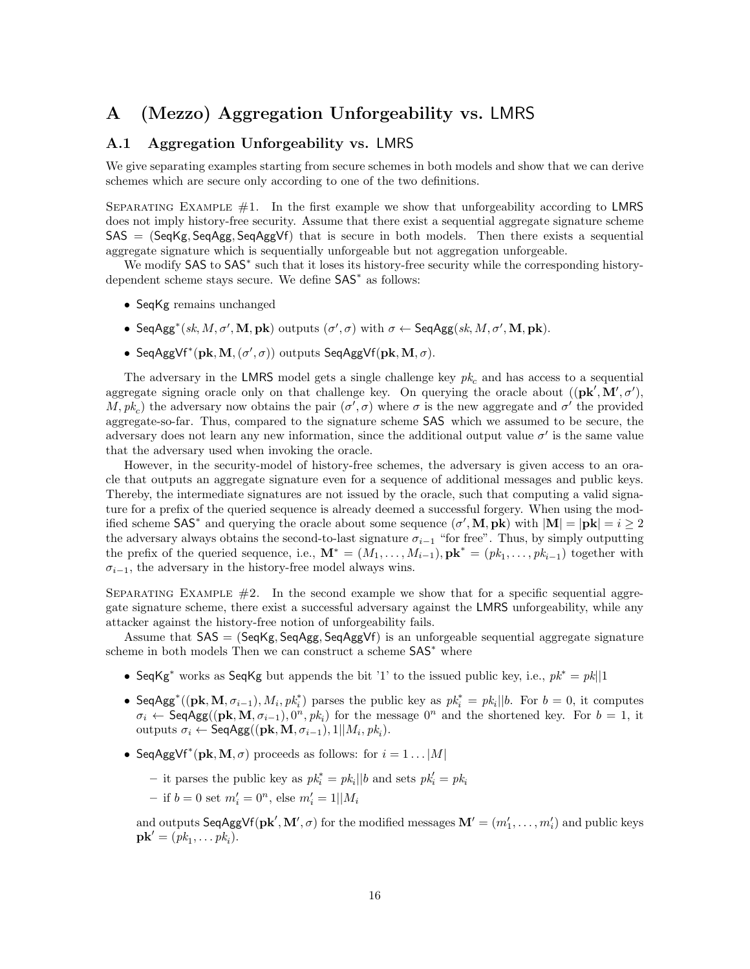# A (Mezzo) Aggregation Unforgeability vs. LMRS

### A.1 Aggregation Unforgeability vs. LMRS

We give separating examples starting from secure schemes in both models and show that we can derive schemes which are secure only according to one of the two definitions.

SEPARATING EXAMPLE  $#1$ . In the first example we show that unforgeability according to LMRS does not imply history-free security. Assume that there exist a sequential aggregate signature scheme SAS = (SeqKg, SeqAgg, SeqAggVf) that is secure in both models. Then there exists a sequential aggregate signature which is sequentially unforgeable but not aggregation unforgeable.

We modify SAS to SAS<sup>\*</sup> such that it loses its history-free security while the corresponding historydependent scheme stays secure. We define SAS<sup>∗</sup> as follows:

- SeqKg remains unchanged
- SeqAgg<sup>\*</sup>(sk, M,  $\sigma'$ , M, pk) outputs  $(\sigma', \sigma)$  with  $\sigma \leftarrow$  SeqAgg(sk, M,  $\sigma'$ , M, pk).
- SeqAggVf<sup>\*</sup>(pk, M,  $(\sigma', \sigma)$ ) outputs SeqAggVf(pk, M,  $\sigma$ ).

The adversary in the LMRS model gets a single challenge key  $pk_c$  and has access to a sequential aggregate signing oracle only on that challenge key. On querying the oracle about  $((\mathbf{pk}', \mathbf{M}', \sigma'),$ M,  $pk_c$ ) the adversary now obtains the pair  $(\sigma', \sigma)$  where  $\sigma$  is the new aggregate and  $\sigma'$  the provided aggregate-so-far. Thus, compared to the signature scheme SAS which we assumed to be secure, the adversary does not learn any new information, since the additional output value  $\sigma'$  is the same value that the adversary used when invoking the oracle.

However, in the security-model of history-free schemes, the adversary is given access to an oracle that outputs an aggregate signature even for a sequence of additional messages and public keys. Thereby, the intermediate signatures are not issued by the oracle, such that computing a valid signature for a prefix of the queried sequence is already deemed a successful forgery. When using the modified scheme SAS<sup>\*</sup> and querying the oracle about some sequence  $(\sigma', \mathbf{M}, \mathbf{pk})$  with  $|\mathbf{M}| = |\mathbf{pk}| = i \geq 2$ the adversary always obtains the second-to-last signature  $\sigma_{i-1}$  "for free". Thus, by simply outputting the prefix of the queried sequence, i.e.,  $\mathbf{M}^* = (M_1, \ldots, M_{i-1}), \mathbf{p}\mathbf{k}^* = (pk_1, \ldots, pk_{i-1})$  together with  $\sigma_{i-1}$ , the adversary in the history-free model always wins.

SEPARATING EXAMPLE  $#2$ . In the second example we show that for a specific sequential aggregate signature scheme, there exist a successful adversary against the LMRS unforgeability, while any attacker against the history-free notion of unforgeability fails.

Assume that  $SAS = (SeqKg, SeqAggVf)$  is an unforgeable sequential aggregate signature scheme in both models Then we can construct a scheme  $SAS^*$  where

- SeqKg<sup>\*</sup> works as SeqKg but appends the bit '1' to the issued public key, i.e.,  $pk^* = pk||1$
- SeqAgg<sup>\*</sup>((pk, M,  $\sigma_{i-1}$ ),  $M_i$ ,  $pk_i^*$ ) parses the public key as  $pk_i^* = pk_i ||b$ . For  $b = 0$ , it computes  $\sigma_i \leftarrow \textsf{SeqAgg}((\textbf{pk}, \textbf{M}, \sigma_{i-1}), 0^n, \textit{pk}_i)$  for the message  $0^n$  and the shortened key. For  $b = 1$ , it outputs  $\sigma_i \leftarrow \mathsf{SeqAgg}((\mathbf{pk}, \mathbf{M}, \sigma_{i-1}), 1||M_i, pk_i).$
- SeqAggVf<sup>\*</sup>( $\mathbf{pk}, \mathbf{M}, \sigma$ ) proceeds as follows: for  $i = 1 \dots |M|$ 
	- − it parses the public key as  $pk_i^* = pk_i || b$  and sets  $pk_i' = pk_i$
	- if  $b = 0$  set  $m'_i = 0^n$ , else  $m'_i = 1||M_i$

and outputs  $\textsf{SeqAggVf}(pk', M', \sigma)$  for the modified messages  $\mathbf{M}' = (m'_1, \dots, m'_i)$  and public keys  $\mathbf{pk}' = (pk_1, \ldots pk_i).$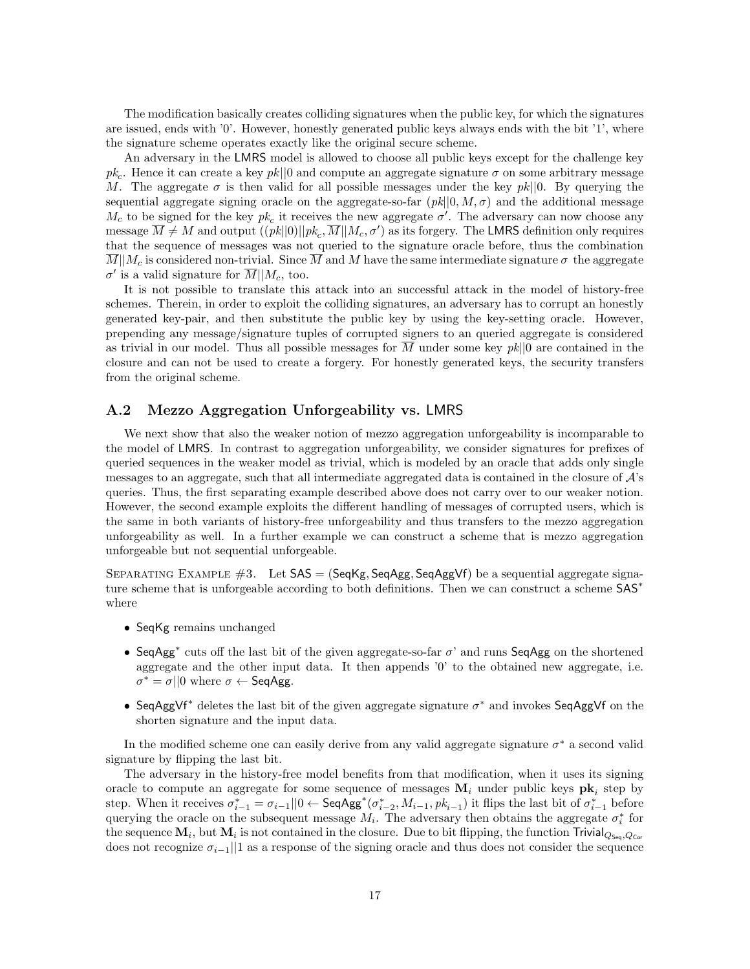The modification basically creates colliding signatures when the public key, for which the signatures are issued, ends with '0'. However, honestly generated public keys always ends with the bit '1', where the signature scheme operates exactly like the original secure scheme.

An adversary in the LMRS model is allowed to choose all public keys except for the challenge key  $pk_c$ . Hence it can create a key  $pk||0$  and compute an aggregate signature  $\sigma$  on some arbitrary message M. The aggregate  $\sigma$  is then valid for all possible messages under the key  $pk||0$ . By querying the sequential aggregate signing oracle on the aggregate-so-far  $(pk||0, M, \sigma)$  and the additional message  $M_c$  to be signed for the key  $pk_c$  it receives the new aggregate  $\sigma'$ . The adversary can now choose any message  $\overline{M}\neq M$  and output  $((pk||0)||pk_c, \overline{M}||M_c, \sigma')$  as its forgery. The LMRS definition only requires that the sequence of messages was not queried to the signature oracle before, thus the combination  $\overline{M}||M_c$  is considered non-trivial. Since  $\overline{M}$  and M have the same intermediate signature  $\sigma$  the aggregate  $\sigma'$  is a valid signature for  $\overline{M}||M_c$ , too.

It is not possible to translate this attack into an successful attack in the model of history-free schemes. Therein, in order to exploit the colliding signatures, an adversary has to corrupt an honestly generated key-pair, and then substitute the public key by using the key-setting oracle. However, prepending any message/signature tuples of corrupted signers to an queried aggregate is considered as trivial in our model. Thus all possible messages for  $\overline{M}$  under some key  $pk||0$  are contained in the closure and can not be used to create a forgery. For honestly generated keys, the security transfers from the original scheme.

### A.2 Mezzo Aggregation Unforgeability vs. LMRS

We next show that also the weaker notion of mezzo aggregation unforgeability is incomparable to the model of LMRS. In contrast to aggregation unforgeability, we consider signatures for prefixes of queried sequences in the weaker model as trivial, which is modeled by an oracle that adds only single messages to an aggregate, such that all intermediate aggregated data is contained in the closure of  $\mathcal{A}$ 's queries. Thus, the first separating example described above does not carry over to our weaker notion. However, the second example exploits the different handling of messages of corrupted users, which is the same in both variants of history-free unforgeability and thus transfers to the mezzo aggregation unforgeability as well. In a further example we can construct a scheme that is mezzo aggregation unforgeable but not sequential unforgeable.

SEPARATING EXAMPLE  $\#3$ . Let  $SAS = (SeqKg, SeqAgg, SeqAggVf)$  be a sequential aggregate signature scheme that is unforgeable according to both definitions. Then we can construct a scheme  $SAS^*$ where

- SeqKg remains unchanged
- SeqAgg<sup>\*</sup> cuts off the last bit of the given aggregate-so-far  $\sigma'$  and runs SeqAgg on the shortened aggregate and the other input data. It then appends '0' to the obtained new aggregate, i.e.  $\sigma^* = \sigma || 0$  where  $\sigma \leftarrow$  SeqAgg.
- SeqAggVf<sup>\*</sup> deletes the last bit of the given aggregate signature  $\sigma^*$  and invokes SeqAggVf on the shorten signature and the input data.

In the modified scheme one can easily derive from any valid aggregate signature  $\sigma^*$  a second valid signature by flipping the last bit.

The adversary in the history-free model benefits from that modification, when it uses its signing oracle to compute an aggregate for some sequence of messages  $M_i$  under public keys  $pk_i$  step by step. When it receives  $\sigma_{i-1}^* = \sigma_{i-1} || 0 \leftarrow \textsf{SeqAgg}^*(\sigma_{i-2}^*, M_{i-1}, pk_{i-1})$  it flips the last bit of  $\sigma_{i-1}^*$  before querying the oracle on the subsequent message  $M_i$ . The adversary then obtains the aggregate  $\sigma_i^*$  for the sequence  $M_i$ , but  $M_i$  is not contained in the closure. Due to bit flipping, the function Trivial $_{Q_{\text{Seq}},Q_{\text{Cor}}}$ does not recognize  $\sigma_{i-1}$ ||1 as a response of the signing oracle and thus does not consider the sequence